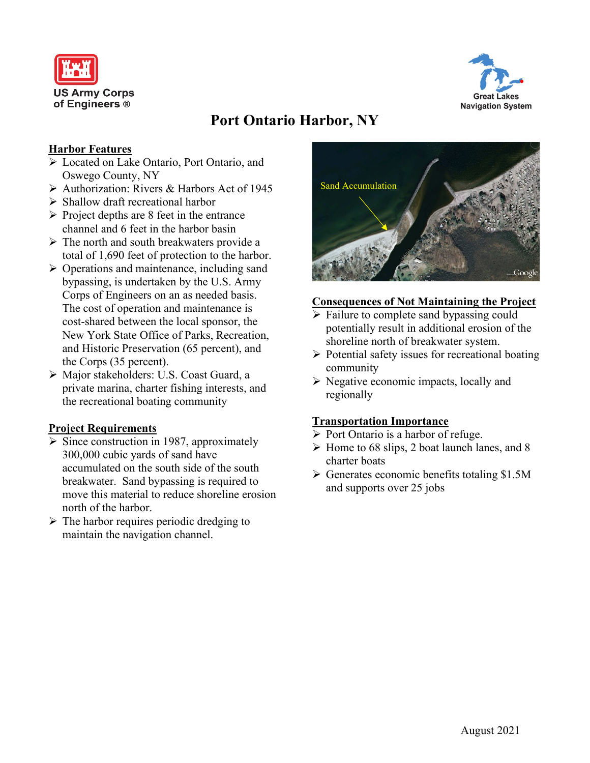



# **Port Ontario Harbor, NY**

### **Harbor Features**

- Located on Lake Ontario, Port Ontario, and Oswego County, NY
- $\triangleright$  Authorization: Rivers & Harbors Act of 1945
- $\triangleright$  Shallow draft recreational harbor
- $\triangleright$  Project depths are 8 feet in the entrance channel and 6 feet in the harbor basin
- $\triangleright$  The north and south breakwaters provide a total of 1,690 feet of protection to the harbor.
- $\triangleright$  Operations and maintenance, including sand bypassing, is undertaken by the U.S. Army Corps of Engineers on an as needed basis. The cost of operation and maintenance is cost-shared between the local sponsor, the New York State Office of Parks, Recreation, and Historic Preservation (65 percent), and the Corps (35 percent).
- Major stakeholders: U.S. Coast Guard, a private marina, charter fishing interests, and the recreational boating community

## **Project Requirements**

- $\triangleright$  Since construction in 1987, approximately 300,000 cubic yards of sand have accumulated on the south side of the south breakwater. Sand bypassing is required to move this material to reduce shoreline erosion north of the harbor.
- $\triangleright$  The harbor requires periodic dredging to maintain the navigation channel.



#### **Consequences of Not Maintaining the Project**

- $\triangleright$  Failure to complete sand bypassing could potentially result in additional erosion of the shoreline north of breakwater system.
- $\triangleright$  Potential safety issues for recreational boating community
- $\triangleright$  Negative economic impacts, locally and regionally

## **Transportation Importance**

- $\triangleright$  Port Ontario is a harbor of refuge.
- $\triangleright$  Home to 68 slips, 2 boat launch lanes, and 8 charter boats
- $\triangleright$  Generates economic benefits totaling \$1.5M and supports over 25 jobs